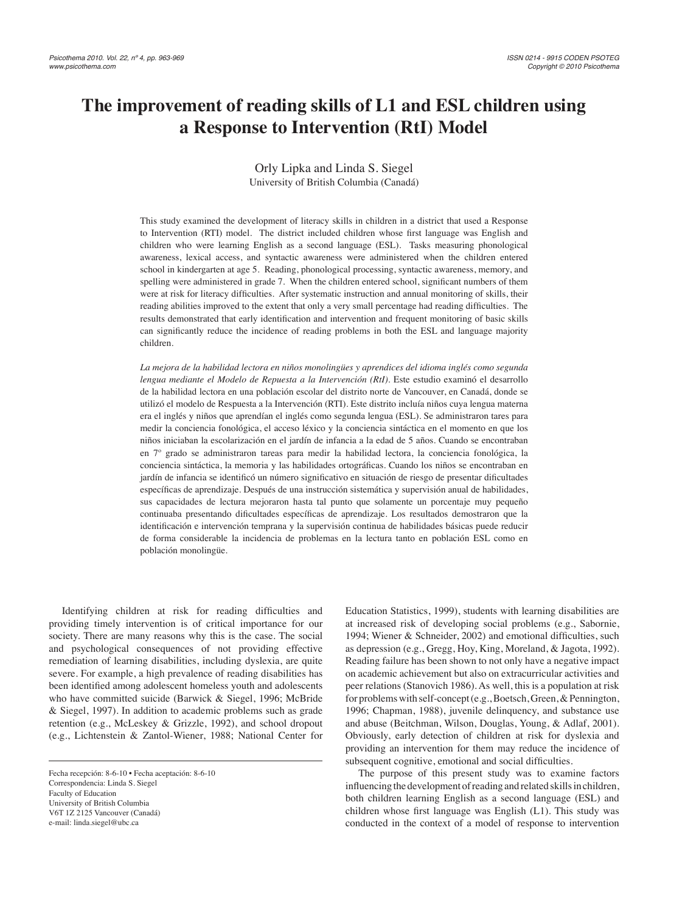# **The improvement of reading skills of L1 and ESL children using a Response to Intervention (RtI) Model**

Orly Lipka and Linda S. Siegel University of British Columbia (Canadá)

This study examined the development of literacy skills in children in a district that used a Response to Intervention (RTI) model. The district included children whose first language was English and children who were learning English as a second language (ESL). Tasks measuring phonological awareness, lexical access, and syntactic awareness were administered when the children entered school in kindergarten at age 5. Reading, phonological processing, syntactic awareness, memory, and spelling were administered in grade 7. When the children entered school, significant numbers of them were at risk for literacy difficulties. After systematic instruction and annual monitoring of skills, their reading abilities improved to the extent that only a very small percentage had reading difficulties. The results demonstrated that early identification and intervention and frequent monitoring of basic skills can significantly reduce the incidence of reading problems in both the ESL and language majority children.

*La mejora de la habilidad lectora en niños monolingües y aprendices del idioma inglés como segunda lengua mediante el Modelo de Repuesta a la Intervención (RtI).* Este estudio examinó el desarrollo de la habilidad lectora en una población escolar del distrito norte de Vancouver, en Canadá, donde se utilizó el modelo de Respuesta a la Intervención (RTI). Este distrito incluía niños cuya lengua materna era el inglés y niños que aprendían el inglés como segunda lengua (ESL). Se administraron tares para medir la conciencia fonológica, el acceso léxico y la conciencia sintáctica en el momento en que los niños iniciaban la escolarización en el jardín de infancia a la edad de 5 años. Cuando se encontraban en 7º grado se administraron tareas para medir la habilidad lectora, la conciencia fonológica, la conciencia sintáctica, la memoria y las habilidades ortográficas. Cuando los niños se encontraban en jardín de infancia se identificó un número significativo en situación de riesgo de presentar dificultades específicas de aprendizaje. Después de una instrucción sistemática y supervisión anual de habilidades, sus capacidades de lectura mejoraron hasta tal punto que solamente un porcentaje muy pequeño continuaba presentando dificultades específicas de aprendizaje. Los resultados demostraron que la identificación e intervención temprana y la supervisión continua de habilidades básicas puede reducir de forma considerable la incidencia de problemas en la lectura tanto en población ESL como en población monolingüe.

Identifying children at risk for reading difficulties and providing timely intervention is of critical importance for our society. There are many reasons why this is the case. The social and psychological consequences of not providing effective remediation of learning disabilities, including dyslexia, are quite severe. For example, a high prevalence of reading disabilities has been identified among adolescent homeless youth and adolescents who have committed suicide (Barwick & Siegel, 1996; McBride & Siegel, 1997). In addition to academic problems such as grade retention (e.g., McLeskey & Grizzle, 1992), and school dropout (e.g., Lichtenstein & Zantol-Wiener, 1988; National Center for

Education Statistics, 1999), students with learning disabilities are at increased risk of developing social problems (e.g., Sabornie, 1994; Wiener & Schneider, 2002) and emotional difficulties, such as depression (e.g., Gregg, Hoy, King, Moreland, & Jagota, 1992). Reading failure has been shown to not only have a negative impact on academic achievement but also on extracurricular activities and peer relations (Stanovich 1986). As well, this is a population at risk for problems with self-concept (e.g., Boetsch, Green, & Pennington, 1996; Chapman, 1988), juvenile delinquency, and substance use and abuse (Beitchman, Wilson, Douglas, Young, & Adlaf, 2001). Obviously, early detection of children at risk for dyslexia and providing an intervention for them may reduce the incidence of subsequent cognitive, emotional and social difficulties.

The purpose of this present study was to examine factors influencing the development of reading and related skills in children, both children learning English as a second language (ESL) and children whose first language was English  $(L1)$ . This study was conducted in the context of a model of response to intervention

Fecha recepción: 8-6-10 • Fecha aceptación: 8-6-10 Correspondencia: Linda S. Siegel Faculty of Education University of British Columbia V6T 1Z 2125 Vancouver (Canadá) e-mail: linda.siegel@ubc.ca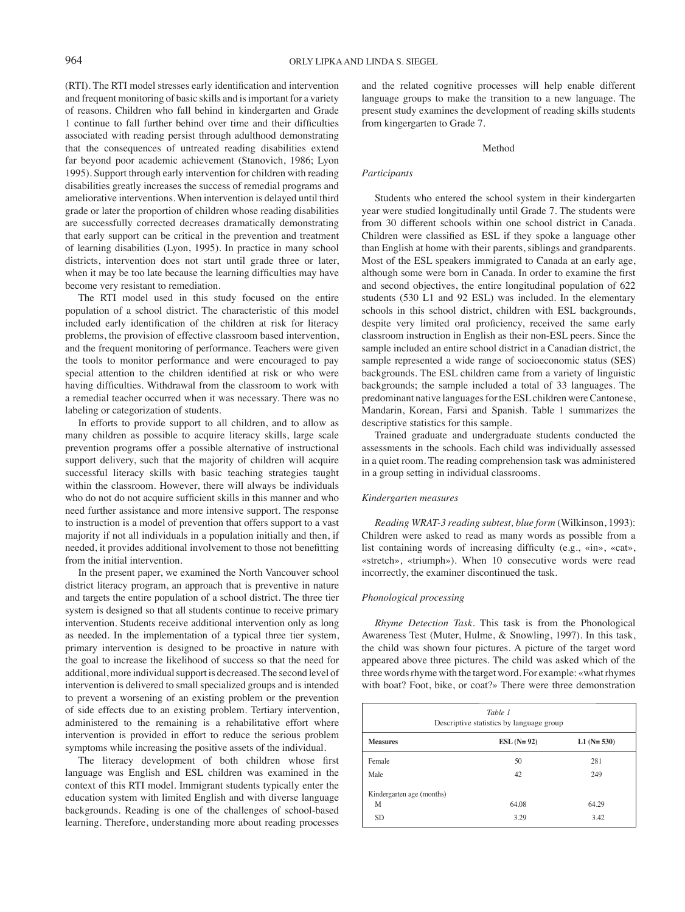(RTI). The RTI model stresses early identification and intervention and frequent monitoring of basic skills and is important for a variety of reasons. Children who fall behind in kindergarten and Grade 1 continue to fall further behind over time and their difficulties associated with reading persist through adulthood demonstrating that the consequences of untreated reading disabilities extend far beyond poor academic achievement (Stanovich, 1986; Lyon 1995). Support through early intervention for children with reading disabilities greatly increases the success of remedial programs and ameliorative interventions. When intervention is delayed until third grade or later the proportion of children whose reading disabilities are successfully corrected decreases dramatically demonstrating that early support can be critical in the prevention and treatment of learning disabilities (Lyon, 1995). In practice in many school districts, intervention does not start until grade three or later, when it may be too late because the learning difficulties may have become very resistant to remediation.

The RTI model used in this study focused on the entire population of a school district. The characteristic of this model included early identification of the children at risk for literacy problems, the provision of effective classroom based intervention, and the frequent monitoring of performance. Teachers were given the tools to monitor performance and were encouraged to pay special attention to the children identified at risk or who were having difficulties. Withdrawal from the classroom to work with a remedial teacher occurred when it was necessary. There was no labeling or categorization of students.

In efforts to provide support to all children, and to allow as many children as possible to acquire literacy skills, large scale prevention programs offer a possible alternative of instructional support delivery, such that the majority of children will acquire successful literacy skills with basic teaching strategies taught within the classroom. However, there will always be individuals who do not do not acquire sufficient skills in this manner and who need further assistance and more intensive support. The response to instruction is a model of prevention that offers support to a vast majority if not all individuals in a population initially and then, if needed, it provides additional involvement to those not benefitting from the initial intervention.

In the present paper, we examined the North Vancouver school district literacy program, an approach that is preventive in nature and targets the entire population of a school district. The three tier system is designed so that all students continue to receive primary intervention. Students receive additional intervention only as long as needed. In the implementation of a typical three tier system, primary intervention is designed to be proactive in nature with the goal to increase the likelihood of success so that the need for additional, more individual support is decreased. The second level of intervention is delivered to small specialized groups and is intended to prevent a worsening of an existing problem or the prevention of side effects due to an existing problem. Tertiary intervention, administered to the remaining is a rehabilitative effort where intervention is provided in effort to reduce the serious problem symptoms while increasing the positive assets of the individual.

The literacy development of both children whose first language was English and ESL children was examined in the context of this RTI model. Immigrant students typically enter the education system with limited English and with diverse language backgrounds. Reading is one of the challenges of school-based learning. Therefore, understanding more about reading processes and the related cognitive processes will help enable different language groups to make the transition to a new language. The present study examines the development of reading skills students from kingergarten to Grade 7.

#### Method

# *Participants*

Students who entered the school system in their kindergarten year were studied longitudinally until Grade 7. The students were from 30 different schools within one school district in Canada. Children were classified as ESL if they spoke a language other than English at home with their parents, siblings and grandparents. Most of the ESL speakers immigrated to Canada at an early age, although some were born in Canada. In order to examine the first and second objectives, the entire longitudinal population of 622 students (530 L1 and 92 ESL) was included. In the elementary schools in this school district, children with ESL backgrounds, despite very limited oral proficiency, received the same early classroom instruction in English as their non-ESL peers. Since the sample included an entire school district in a Canadian district, the sample represented a wide range of socioeconomic status (SES) backgrounds. The ESL children came from a variety of linguistic backgrounds; the sample included a total of 33 languages. The predominant native languages for the ESL children were Cantonese, Mandarin, Korean, Farsi and Spanish. Table 1 summarizes the descriptive statistics for this sample.

Trained graduate and undergraduate students conducted the assessments in the schools. Each child was individually assessed in a quiet room. The reading comprehension task was administered in a group setting in individual classrooms.

## *Kindergarten measures*

*Reading WRAT-3 reading subtest, blue form* (Wilkinson, 1993): Children were asked to read as many words as possible from a list containing words of increasing difficulty (e.g., «in», «cat», «stretch», «triumph»). When 10 consecutive words were read incorrectly, the examiner discontinued the task.

# *Phonological processing*

*Rhyme Detection Task*. This task is from the Phonological Awareness Test (Muter, Hulme, & Snowling, 1997). In this task, the child was shown four pictures. A picture of the target word appeared above three pictures. The child was asked which of the three words rhyme with the target word. For example: «what rhymes with boat? Foot, bike, or coat?» There were three demonstration

| Table 1<br>Descriptive statistics by language group |             |              |  |  |  |
|-----------------------------------------------------|-------------|--------------|--|--|--|
| <b>Measures</b>                                     | $ESL(N=92)$ | L1 $(N=530)$ |  |  |  |
| Female                                              | 50          | 281          |  |  |  |
| Male                                                | 42          | 249          |  |  |  |
| Kindergarten age (months)                           |             |              |  |  |  |
| М                                                   | 64.08       | 64.29        |  |  |  |
| <b>SD</b>                                           | 3.29        | 3.42         |  |  |  |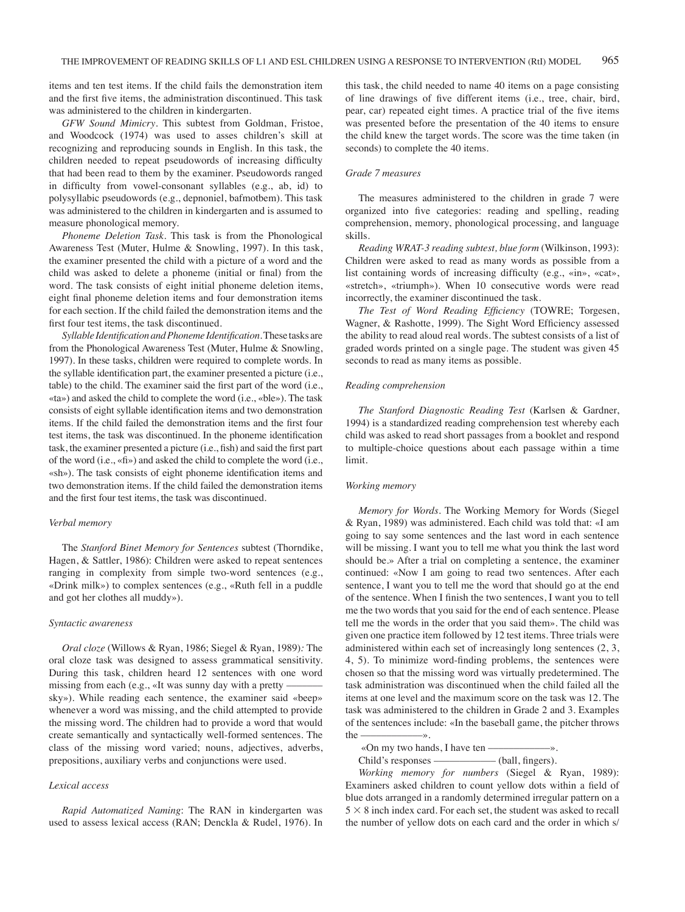items and ten test items. If the child fails the demonstration item and the first five items, the administration discontinued. This task was administered to the children in kindergarten.

*GFW Sound Mimicry*. This subtest from Goldman, Fristoe, and Woodcock (1974) was used to asses children's skill at recognizing and reproducing sounds in English. In this task, the children needed to repeat pseudowords of increasing difficulty that had been read to them by the examiner. Pseudowords ranged in difficulty from vowel-consonant syllables (e.g., ab, id) to polysyllabic pseudowords (e.g., depnoniel, bafmotbem). This task was administered to the children in kindergarten and is assumed to measure phonological memory.

*Phoneme Deletion Task*. This task is from the Phonological Awareness Test (Muter, Hulme & Snowling, 1997). In this task, the examiner presented the child with a picture of a word and the child was asked to delete a phoneme (initial or final) from the word. The task consists of eight initial phoneme deletion items, eight final phoneme deletion items and four demonstration items for each section. If the child failed the demonstration items and the first four test items, the task discontinued.

Syllable Identification and Phoneme Identification. These tasks are from the Phonological Awareness Test (Muter, Hulme & Snowling, 1997). In these tasks, children were required to complete words. In the syllable identification part, the examiner presented a picture (i.e., table) to the child. The examiner said the first part of the word (i.e., «ta») and asked the child to complete the word (i.e., «ble»). The task consists of eight syllable identification items and two demonstration items. If the child failed the demonstration items and the first four test items, the task was discontinued. In the phoneme identification task, the examiner presented a picture (i.e., fish) and said the first part of the word (i.e.,  $\langle f(x) \rangle$  and asked the child to complete the word (i.e., «sh»). The task consists of eight phoneme identification items and two demonstration items. If the child failed the demonstration items and the first four test items, the task was discontinued.

## *Verbal memory*

The *Stanford Binet Memory for Sentences* subtest (Thorndike, Hagen, & Sattler, 1986): Children were asked to repeat sentences ranging in complexity from simple two-word sentences (e.g., «Drink milk») to complex sentences (e.g., «Ruth fell in a puddle and got her clothes all muddy»).

#### *Syntactic awareness*

*Oral cloze* (Willows & Ryan, 1986; Siegel & Ryan, 1989)*:* The oral cloze task was designed to assess grammatical sensitivity. During this task, children heard 12 sentences with one word missing from each (e.g., «It was sunny day with a pretty sky»). While reading each sentence, the examiner said «beep» whenever a word was missing, and the child attempted to provide the missing word. The children had to provide a word that would create semantically and syntactically well-formed sentences. The class of the missing word varied; nouns, adjectives, adverbs, prepositions, auxiliary verbs and conjunctions were used.

## *Lexical access*

*Rapid Automatized Naming*: The RAN in kindergarten was used to assess lexical access (RAN; Denckla & Rudel, 1976). In

this task, the child needed to name 40 items on a page consisting of line drawings of five different items (i.e., tree, chair, bird, pear, car) repeated eight times. A practice trial of the five items was presented before the presentation of the 40 items to ensure the child knew the target words. The score was the time taken (in seconds) to complete the 40 items.

# *Grade 7 measures*

The measures administered to the children in grade 7 were organized into five categories: reading and spelling, reading comprehension, memory, phonological processing, and language skills.

*Reading WRAT-3 reading subtest, blue form* (Wilkinson, 1993): Children were asked to read as many words as possible from a list containing words of increasing difficulty (e.g.,  $\langle \sin x \rangle$ ,  $\langle \cot x \rangle$ , «stretch», «triumph»). When 10 consecutive words were read incorrectly, the examiner discontinued the task.

The Test of Word Reading Efficiency (TOWRE; Torgesen, Wagner, & Rashotte, 1999). The Sight Word Efficiency assessed the ability to read aloud real words. The subtest consists of a list of graded words printed on a single page. The student was given 45 seconds to read as many items as possible.

#### *Reading comprehension*

*The Stanford Diagnostic Reading Test* (Karlsen & Gardner, 1994) is a standardized reading comprehension test whereby each child was asked to read short passages from a booklet and respond to multiple-choice questions about each passage within a time limit.

#### *Working memory*

*Memory for Words*. The Working Memory for Words (Siegel & Ryan, 1989) was administered. Each child was told that: «I am going to say some sentences and the last word in each sentence will be missing. I want you to tell me what you think the last word should be.» After a trial on completing a sentence, the examiner continued: «Now I am going to read two sentences. After each sentence, I want you to tell me the word that should go at the end of the sentence. When I finish the two sentences, I want you to tell me the two words that you said for the end of each sentence. Please tell me the words in the order that you said them». The child was given one practice item followed by 12 test items. Three trials were administered within each set of increasingly long sentences (2, 3, 4, 5). To minimize word-finding problems, the sentences were chosen so that the missing word was virtually predetermined. The task administration was discontinued when the child failed all the items at one level and the maximum score on the task was 12. The task was administered to the children in Grade 2 and 3. Examples of the sentences include: «In the baseball game, the pitcher throws the  $\longrightarrow$ 

«On my two hands, I have ten –

Child's responses –––––––––––– (ball, fingers).

*Working memory for numbers* (Siegel & Ryan, 1989): Examiners asked children to count yellow dots within a field of blue dots arranged in a randomly determined irregular pattern on a  $5 \times 8$  inch index card. For each set, the student was asked to recall the number of yellow dots on each card and the order in which s/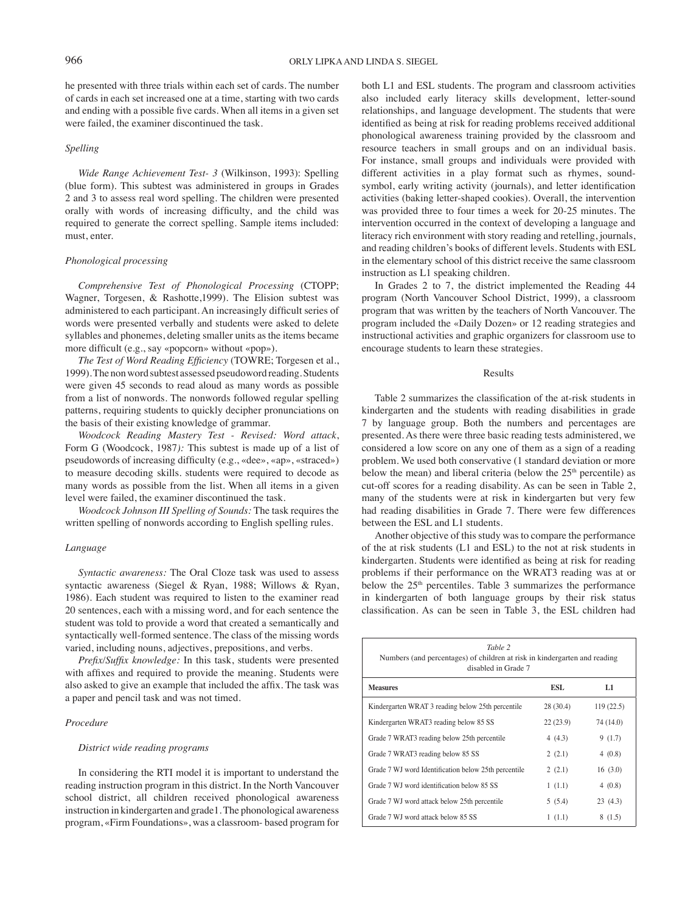he presented with three trials within each set of cards. The number of cards in each set increased one at a time, starting with two cards and ending with a possible five cards. When all items in a given set were failed, the examiner discontinued the task.

# *Spelling*

*Wide Range Achievement Test- 3* (Wilkinson, 1993): Spelling (blue form). This subtest was administered in groups in Grades 2 and 3 to assess real word spelling. The children were presented orally with words of increasing difficulty, and the child was required to generate the correct spelling. Sample items included: must, enter.

## *Phonological processing*

*Comprehensive Test of Phonological Processing* (CTOPP; Wagner, Torgesen, & Rashotte,1999). The Elision subtest was administered to each participant. An increasingly difficult series of words were presented verbally and students were asked to delete syllables and phonemes, deleting smaller units as the items became more difficult (e.g., say «popcorn» without «pop»).

*The Test of Word Reading Efficiency* (TOWRE; Torgesen et al., 1999). The non word subtest assessed pseudoword reading. Students were given 45 seconds to read aloud as many words as possible from a list of nonwords. The nonwords followed regular spelling patterns, requiring students to quickly decipher pronunciations on the basis of their existing knowledge of grammar.

*Woodcock Reading Mastery Test - Revised: Word attack*, Form G (Woodcock, 1987*):* This subtest is made up of a list of pseudowords of increasing difficulty (e.g., «dee», «ap», «straced») to measure decoding skills. students were required to decode as many words as possible from the list. When all items in a given level were failed, the examiner discontinued the task.

*Woodcock Johnson III Spelling of Sounds:* The task requires the written spelling of nonwords according to English spelling rules.

## *Language*

*Syntactic awareness:* The Oral Cloze task was used to assess syntactic awareness (Siegel & Ryan, 1988; Willows & Ryan, 1986). Each student was required to listen to the examiner read 20 sentences, each with a missing word, and for each sentence the student was told to provide a word that created a semantically and syntactically well-formed sentence. The class of the missing words varied, including nouns, adjectives, prepositions, and verbs.

Prefix/Suffix knowledge: In this task, students were presented with affixes and required to provide the meaning. Students were also asked to give an example that included the affix. The task was a paper and pencil task and was not timed.

#### *Procedure*

# *District wide reading programs*

In considering the RTI model it is important to understand the reading instruction program in this district. In the North Vancouver school district, all children received phonological awareness instruction in kindergarten and grade1. The phonological awareness program, «Firm Foundations», was a classroom- based program for both L1 and ESL students. The program and classroom activities also included early literacy skills development, letter-sound relationships, and language development. The students that were identified as being at risk for reading problems received additional phonological awareness training provided by the classroom and resource teachers in small groups and on an individual basis. For instance, small groups and individuals were provided with different activities in a play format such as rhymes, soundsymbol, early writing activity (journals), and letter identification activities (baking letter-shaped cookies). Overall, the intervention was provided three to four times a week for 20-25 minutes. The intervention occurred in the context of developing a language and literacy rich environment with story reading and retelling, journals, and reading children's books of different levels. Students with ESL in the elementary school of this district receive the same classroom instruction as L1 speaking children.

In Grades 2 to 7, the district implemented the Reading 44 program (North Vancouver School District, 1999), a classroom program that was written by the teachers of North Vancouver. The program included the «Daily Dozen» or 12 reading strategies and instructional activities and graphic organizers for classroom use to encourage students to learn these strategies.

## Results

Table 2 summarizes the classification of the at-risk students in kindergarten and the students with reading disabilities in grade 7 by language group. Both the numbers and percentages are presented. As there were three basic reading tests administered, we considered a low score on any one of them as a sign of a reading problem. We used both conservative (1 standard deviation or more below the mean) and liberal criteria (below the  $25<sup>th</sup>$  percentile) as cut-off scores for a reading disability. As can be seen in Table 2, many of the students were at risk in kindergarten but very few had reading disabilities in Grade 7. There were few differences between the ESL and L1 students.

Another objective of this study was to compare the performance of the at risk students (L1 and ESL) to the not at risk students in kindergarten. Students were identified as being at risk for reading problems if their performance on the WRAT3 reading was at or below the 25<sup>th</sup> percentiles. Table 3 summarizes the performance in kindergarten of both language groups by their risk status classification. As can be seen in Table 3, the ESL children had

| Table 2<br>Numbers (and percentages) of children at risk in kindergarten and reading<br>disabled in Grade 7 |            |           |  |  |  |  |
|-------------------------------------------------------------------------------------------------------------|------------|-----------|--|--|--|--|
| <b>Measures</b>                                                                                             | <b>ESL</b> | L1        |  |  |  |  |
| Kindergarten WRAT 3 reading below 25th percentile                                                           | 28(30.4)   | 119(22.5) |  |  |  |  |
| Kindergarten WRAT3 reading below 85 SS                                                                      | 22(23.9)   | 74 (14.0) |  |  |  |  |
| Grade 7 WRAT3 reading below 25th percentile                                                                 | 4(4.3)     | 9(1.7)    |  |  |  |  |
| Grade 7 WRAT3 reading below 85 SS                                                                           | 2(2.1)     | 4(0.8)    |  |  |  |  |
| Grade 7 WJ word Identification below 25th percentile                                                        | 2(2.1)     | 16(3.0)   |  |  |  |  |
| Grade 7 WJ word identification below 85 SS                                                                  | 1(1.1)     | 4(0.8)    |  |  |  |  |
| Grade 7 WJ word attack below 25th percentile                                                                | 5(5.4)     | 23(4.3)   |  |  |  |  |
| Grade 7 WJ word attack below 85 SS                                                                          | 1(1.1)     | 8(1.5)    |  |  |  |  |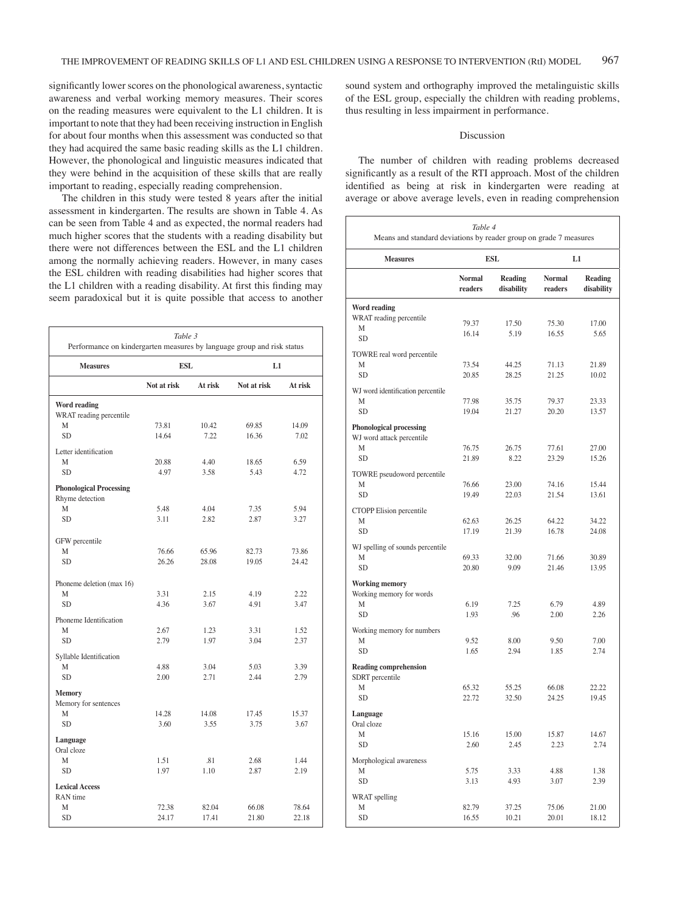significantly lower scores on the phonological awareness, syntactic awareness and verbal working memory measures. Their scores on the reading measures were equivalent to the L1 children. It is important to note that they had been receiving instruction in English for about four months when this assessment was conducted so that they had acquired the same basic reading skills as the L1 children. However, the phonological and linguistic measures indicated that they were behind in the acquisition of these skills that are really important to reading, especially reading comprehension.

The children in this study were tested 8 years after the initial assessment in kindergarten. The results are shown in Table 4. As can be seen from Table 4 and as expected, the normal readers had much higher scores that the students with a reading disability but there were not differences between the ESL and the L1 children among the normally achieving readers. However, in many cases the ESL children with reading disabilities had higher scores that the L1 children with a reading disability. At first this finding may seem paradoxical but it is quite possible that access to another

| Table 3<br>Performance on kindergarten measures by language group and risk status |             |         |             |         |  |  |
|-----------------------------------------------------------------------------------|-------------|---------|-------------|---------|--|--|
| <b>Measures</b>                                                                   | ESL         |         | L1          |         |  |  |
|                                                                                   | Not at risk | At risk | Not at risk | At risk |  |  |
| <b>Word reading</b><br>WRAT reading percentile                                    |             |         |             |         |  |  |
| M                                                                                 | 73.81       | 10.42   | 69.85       | 14.09   |  |  |
| <b>SD</b>                                                                         | 14.64       | 7.22    | 16.36       | 7.02    |  |  |
| Letter identification                                                             |             |         |             |         |  |  |
| M                                                                                 | 20.88       | 4.40    | 18.65       | 6.59    |  |  |
| <b>SD</b>                                                                         | 4.97        | 3.58    | 5.43        | 4.72    |  |  |
| <b>Phonological Processing</b>                                                    |             |         |             |         |  |  |
| Rhyme detection<br>M                                                              | 5.48        | 4.04    | 7.35        | 5.94    |  |  |
| <b>SD</b>                                                                         | 3.11        | 2.82    | 2.87        | 3.27    |  |  |
|                                                                                   |             |         |             |         |  |  |
| GFW percentile                                                                    |             |         |             |         |  |  |
| M                                                                                 | 76.66       | 65.96   | 82.73       | 73.86   |  |  |
| <b>SD</b>                                                                         | 26.26       | 28.08   | 19.05       | 24.42   |  |  |
| Phoneme deletion (max 16)                                                         |             |         |             |         |  |  |
| M                                                                                 | 3.31        | 2.15    | 4.19        | 2.22    |  |  |
| <b>SD</b>                                                                         | 4.36        | 3.67    | 4.91        | 3.47    |  |  |
| Phoneme Identification                                                            |             |         |             |         |  |  |
| M                                                                                 | 2.67        | 1.23    | 3.31        | 1.52    |  |  |
| <b>SD</b>                                                                         | 2.79        | 1.97    | 3.04        | 2.37    |  |  |
| Syllable Identification                                                           |             |         |             |         |  |  |
| M                                                                                 | 4.88        | 3.04    | 5.03        | 3.39    |  |  |
| <b>SD</b>                                                                         | 2.00        | 2.71    | 2.44        | 2.79    |  |  |
| <b>Memory</b><br>Memory for sentences                                             |             |         |             |         |  |  |
| M                                                                                 | 14.28       | 14.08   | 17.45       | 15.37   |  |  |
| <b>SD</b>                                                                         | 3.60        | 3.55    | 3.75        | 3.67    |  |  |
| Language                                                                          |             |         |             |         |  |  |
| Oral cloze                                                                        |             |         |             |         |  |  |
| M                                                                                 | 1.51        | .81     | 2.68        | 1.44    |  |  |
| SD.                                                                               | 1.97        | 1.10    | 2.87        | 2.19    |  |  |
| <b>Lexical Access</b>                                                             |             |         |             |         |  |  |
| RAN time<br>M                                                                     | 72.38       | 82.04   | 66.08       | 78.64   |  |  |
| <b>SD</b>                                                                         | 24.17       | 17.41   | 21.80       | 22.18   |  |  |
|                                                                                   |             |         |             |         |  |  |

sound system and orthography improved the metalinguistic skills of the ESL group, especially the children with reading problems, thus resulting in less impairment in performance.

#### Discussion

The number of children with reading problems decreased significantly as a result of the RTI approach. Most of the children identified as being at risk in kindergarten were reading at average or above average levels, even in reading comprehension

| Table 4<br>Means and standard deviations by reader group on grade 7 measures  |                          |                       |                          |                       |  |  |
|-------------------------------------------------------------------------------|--------------------------|-----------------------|--------------------------|-----------------------|--|--|
| <b>Measures</b>                                                               | <b>ESL</b>               |                       | L1                       |                       |  |  |
|                                                                               | <b>Normal</b><br>readers | Reading<br>disability | <b>Normal</b><br>readers | Reading<br>disability |  |  |
| Word reading<br>WRAT reading percentile<br>M<br><b>SD</b>                     | 79.37<br>16.14           | 17.50<br>5.19         | 75.30<br>16.55           | 17.00<br>5.65         |  |  |
| TOWRE real word percentile<br>М<br><b>SD</b>                                  | 73.54<br>20.85           | 44.25<br>28.25        | 71.13<br>21.25           | 21.89<br>10.02        |  |  |
| WJ word identification percentile<br>М<br><b>SD</b>                           | 77.98<br>19.04           | 35.75<br>21.27        | 79.37<br>20.20           | 23.33<br>13.57        |  |  |
| <b>Phonological processing</b><br>WJ word attack percentile<br>M<br><b>SD</b> | 76.75<br>21.89           | 26.75<br>8.22         | 77.61<br>23.29           | 27.00<br>15.26        |  |  |
| TOWRE pseudoword percentile<br>М<br><b>SD</b>                                 | 76.66<br>19.49           | 23.00<br>22.03        | 74.16<br>21.54           | 15.44<br>13.61        |  |  |
| CTOPP Elision percentile<br>M<br><b>SD</b>                                    | 62.63<br>17.19           | 26.25<br>21.39        | 64.22<br>16.78           | 34.22<br>24.08        |  |  |
| WJ spelling of sounds percentile<br>М<br><b>SD</b>                            | 69.33<br>20.80           | 32.00<br>9.09         | 71.66<br>21.46           | 30.89<br>13.95        |  |  |
| Working memory<br>Working memory for words<br>M<br><b>SD</b>                  | 6.19<br>1.93             | 7.25<br>.96           | 6.79<br>2.00             | 4.89<br>2.26          |  |  |
| Working memory for numbers<br>М<br><b>SD</b>                                  | 9.52<br>1.65             | 8.00<br>2.94          | 9.50<br>1.85             | 7.00<br>2.74          |  |  |
| <b>Reading comprehension</b><br>SDRT percentile<br>М<br><b>SD</b>             | 65.32<br>22.72           | 55.25<br>32.50        | 66.08<br>24.25           | 22.22<br>19.45        |  |  |
| Language<br>Oral cloze<br>М                                                   | 15.16                    | 15.00                 | 15.87                    | 14.67                 |  |  |
| SD<br>Morphological awareness<br>М<br><b>SD</b>                               | 2.60<br>5.75<br>3.13     | 2.45<br>3.33<br>4.93  | 2.23<br>4.88<br>3.07     | 2.74<br>1.38<br>2.39  |  |  |
| WRAT spelling<br>М<br><b>SD</b>                                               | 82.79<br>16.55           | 37.25<br>10.21        | 75.06<br>20.01           | 21.00<br>18.12        |  |  |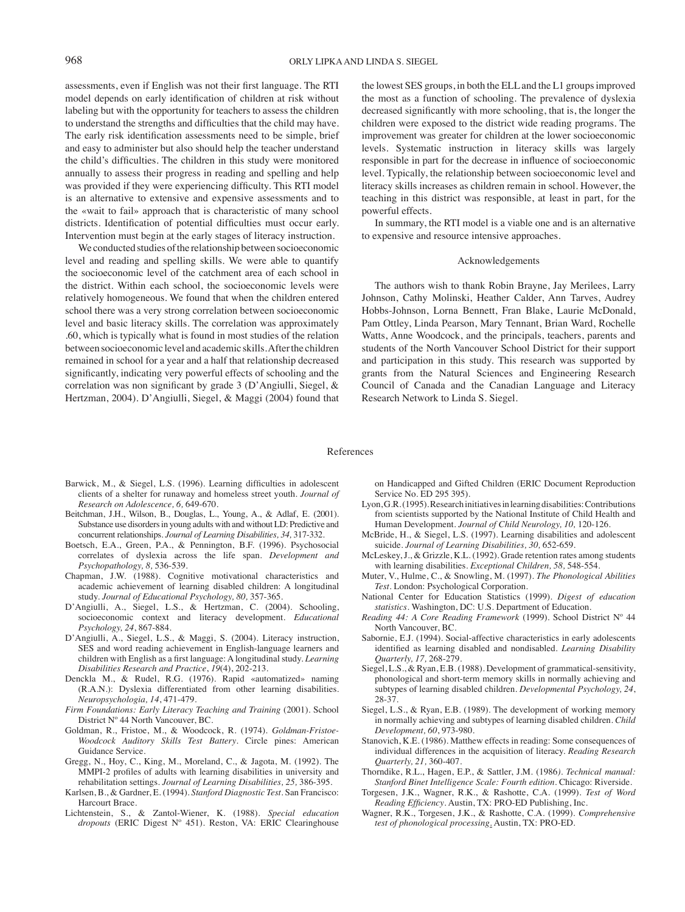assessments, even if English was not their first language. The RTI model depends on early identification of children at risk without labeling but with the opportunity for teachers to assess the children to understand the strengths and difficulties that the child may have. The early risk identification assessments need to be simple, brief and easy to administer but also should help the teacher understand the child's difficulties. The children in this study were monitored annually to assess their progress in reading and spelling and help was provided if they were experiencing difficulty. This RTI model is an alternative to extensive and expensive assessments and to the «wait to fail» approach that is characteristic of many school districts. Identification of potential difficulties must occur early. Intervention must begin at the early stages of literacy instruction.

We conducted studies of the relationship between socioeconomic level and reading and spelling skills. We were able to quantify the socioeconomic level of the catchment area of each school in the district. Within each school, the socioeconomic levels were relatively homogeneous. We found that when the children entered school there was a very strong correlation between socioeconomic level and basic literacy skills. The correlation was approximately .60, which is typically what is found in most studies of the relation between socioeconomic level and academic skills. After the children remained in school for a year and a half that relationship decreased significantly, indicating very powerful effects of schooling and the correlation was non significant by grade  $3$  (D'Angiulli, Siegel,  $\&$ Hertzman, 2004). D'Angiulli, Siegel, & Maggi (2004) found that

the lowest SES groups, in both the ELL and the L1 groups improved the most as a function of schooling. The prevalence of dyslexia decreased significantly with more schooling, that is, the longer the children were exposed to the district wide reading programs. The improvement was greater for children at the lower socioeconomic levels. Systematic instruction in literacy skills was largely responsible in part for the decrease in influence of socioeconomic level. Typically, the relationship between socioeconomic level and literacy skills increases as children remain in school. However, the teaching in this district was responsible, at least in part, for the powerful effects.

In summary, the RTI model is a viable one and is an alternative to expensive and resource intensive approaches.

#### Acknowledgements

The authors wish to thank Robin Brayne, Jay Merilees, Larry Johnson, Cathy Molinski, Heather Calder, Ann Tarves, Audrey Hobbs-Johnson, Lorna Bennett, Fran Blake, Laurie McDonald, Pam Ottley, Linda Pearson, Mary Tennant, Brian Ward, Rochelle Watts, Anne Woodcock, and the principals, teachers, parents and students of the North Vancouver School District for their support and participation in this study. This research was supported by grants from the Natural Sciences and Engineering Research Council of Canada and the Canadian Language and Literacy Research Network to Linda S. Siegel.

#### References

- Barwick, M., & Siegel, L.S. (1996). Learning difficulties in adolescent clients of a shelter for runaway and homeless street youth. *Journal of Research on Adolescence, 6,* 649-670.
- Beitchman, J.H., Wilson, B., Douglas, L., Young, A., & Adlaf, E. (2001). Substance use disorders in young adults with and without LD: Predictive and concurrent relationships. *Journal of Learning Disabilities, 34,* 317-332.
- Boetsch, E.A., Green, P.A., & Pennington, B.F. (1996). Psychosocial correlates of dyslexia across the life span. *Development and Psychopathology, 8,* 536-539.
- Chapman, J.W. (1988). Cognitive motivational characteristics and academic achievement of learning disabled children: A longitudinal study. *Journal of Educational Psychology, 80,* 357-365.
- D'Angiulli, A., Siegel, L.S., & Hertzman, C. (2004). Schooling, socioeconomic context and literacy development. *Educational Psychology, 24*, 867-884.
- D'Angiulli, A., Siegel, L.S., & Maggi, S. (2004). Literacy instruction, SES and word reading achievement in English-language learners and children with English as a first language: A longitudinal study. *Learning Disabilities Research and Practice*, *19*(4), 202-213.
- Denckla M., & Rudel, R.G. (1976). Rapid «automatized» naming (R.A.N.): Dyslexia differentiated from other learning disabilities. *Neuropsychologia, 14*, 471-479.
- *Firm Foundations: Early Literacy Teaching and Training* (2001). School District Nº 44 North Vancouver, BC.
- Goldman, R., Fristoe, M., & Woodcock, R. (1974). *Goldman-Fristoe-Woodcock Auditory Skills Test Battery*. Circle pines: American Guidance Service.
- Gregg, N., Hoy, C., King, M., Moreland, C., & Jagota, M. (1992). The MMPI-2 profiles of adults with learning disabilities in university and rehabilitation settings. *Journal of Learning Disabilities, 25,* 386-395.
- Karlsen, B., & Gardner, E. (1994). *Stanford Diagnostic Test*. San Francisco: Harcourt Brace.
- Lichtenstein, S., & Zantol-Wiener, K. (1988). *Special education dropouts* (ERIC Digest Nº 451). Reston, VA: ERIC Clearinghouse

on Handicapped and Gifted Children (ERIC Document Reproduction Service No. ED 295 395).

- Lyon, G.R. (1995). Research initiatives in learning disabilities: Contributions from scientists supported by the National Institute of Child Health and Human Development. *Journal of Child Neurology, 10,* 120-126.
- McBride, H., & Siegel, L.S. (1997). Learning disabilities and adolescent suicide. *Journal of Learning Disabilities, 30,* 652-659.
- McLeskey, J., & Grizzle, K.L. (1992). Grade retention rates among students with learning disabilities. *Exceptional Children, 58,* 548-554.
- Muter, V., Hulme, C., & Snowling, M. (1997). *The Phonological Abilities Test*. London: Psychological Corporation.
- National Center for Education Statistics (1999). *Digest of education statistics.* Washington, DC: U.S. Department of Education.
- *Reading 44: A Core Reading Framework* (1999). School District Nº 44 North Vancouver, BC.
- Sabornie, E.J. (1994). Social-affective characteristics in early adolescents identified as learning disabled and nondisabled. *Learning Disability Quarterly, 17,* 268-279.
- Siegel, L.S., & Ryan, E.B. (1988). Development of grammatical-sensitivity, phonological and short-term memory skills in normally achieving and subtypes of learning disabled children. *Developmental Psychology, 24*, 28-37.
- Siegel, L.S., & Ryan, E.B. (1989). The development of working memory in normally achieving and subtypes of learning disabled children. *Child Development, 60*, 973-980.
- Stanovich, K.E. (1986). Matthew effects in reading: Some consequences of individual differences in the acquisition of literacy. *Reading Research Quarterly, 21,* 360-407.
- Thorndike, R.L., Hagen, E.P., & Sattler, J.M. (1986*). Technical manual: Stanford Binet Intelligence Scale: Fourth edition.* Chicago: Riverside.
- Torgesen, J.K., Wagner, R.K., & Rashotte, C.A. (1999). *Test of Word Reading Efficiency*. Austin, TX: PRO-ED Publishing, Inc.
- Wagner, R.K., Torgesen, J.K., & Rashotte, C.A. (1999). *Comprehensive test of phonological processing*. Austin, TX: PRO-ED.